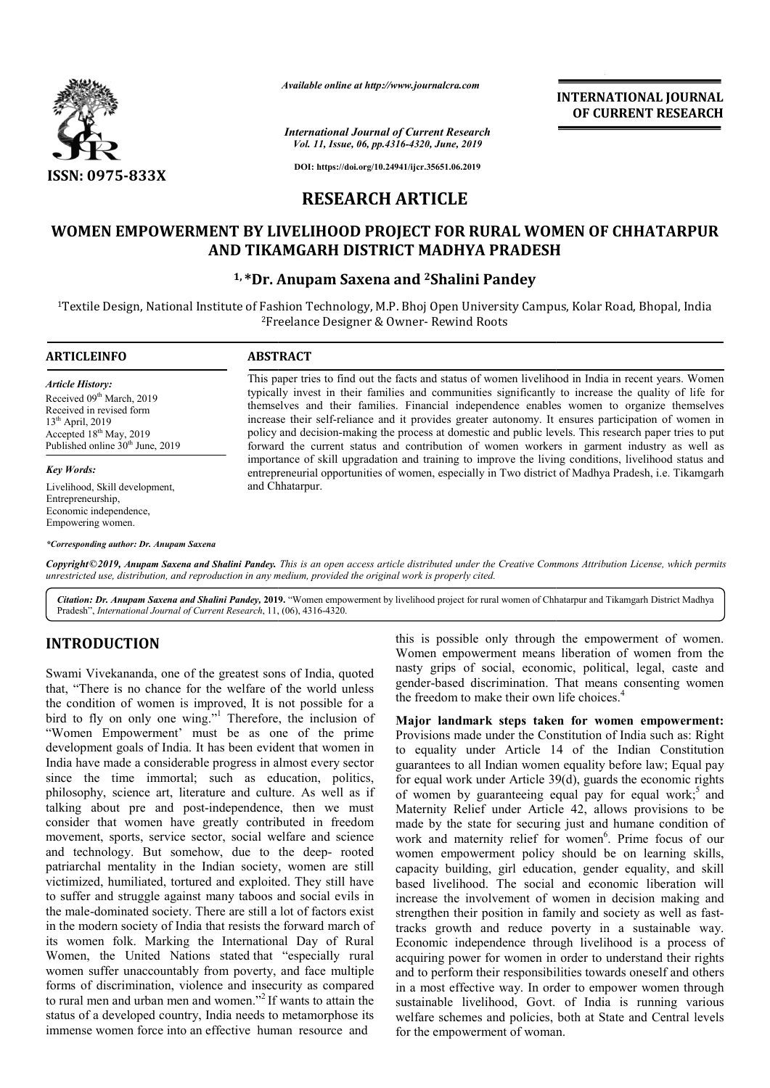

*Available online at http://www.journalcra.com*

*International Journal of Current Research Vol. 11, Issue, 06, pp.4316-4320, June, 2019*

**INTERNATIONAL JOURNAL OF CURRENT RESEARCH**

**DOI: https://doi.org/10.24941/ijcr.35651.06.2019**

# **RESEARCH ARTICLE**

# WOMEN EMPOWERMENT BY LIVELIHOOD PROJECT FOR RURAL WOMEN OF CHHATARPUR<br>AND TIKAMGARH DISTRICT MADHYA PRADESH **AND TIKAMGARH DISTRICT MADHYA PRADESH**

## **1, \*Dr. Anupam Saxena and 2Shalini Pandey**

<sup>1</sup>Textile Design, National Institute of Fashion Technology, M.P. Bhoj Open University Campus, Kolar Road, Bhopal, India 2Freelance Designer & Owner Freelance Owner- Rewind Roots

#### **ARTICLEINFO ABSTRACT** This paper tries to find out the facts and status of women livelihood in India in recent years. Women typically invest in their families and communities significantly to increase the quality of life for themselves and their families. Financial independence enables women to organize themselves increase their self self-reliance and it provides greater autonomy. It ensures participation of women in This paper tries to find out the facts and status of women livelihood in India in recent years. Women<br>typically invest in their families and communities significantly to increase the quality of life for<br>themselves and thei forward the current status and contribution of women workers in garment industry as well as importance of skill upgradation and training to improve the living conditions, livelihood status and forward the current status and contribution of women workers in garment industry as well as importance of skill upgradation and training to improve the living conditions, livelihood status and entrepreneurial opportunities and Chhatarpur. *Article History:* Received 09<sup>th</sup> March, 2019 Received in revised form  $13<sup>th</sup>$  April, 2019 Accepted 18<sup>th</sup> May, 2019 Published online 30<sup>th</sup> June, 2019 *Key Words:* Livelihood, Skill development, Entrepreneurship, Economic independence, Empowering women.

*\*Corresponding author: Dr. Anupam Saxena*

Copyright©2019, Anupam Saxena and Shalini Pandey. This is an open access article distributed under the Creative Commons Attribution License, which permits *unrestricted use, distribution, and reproduction in any medium, provided the original work is properly cited.*

Citation: Dr. Anupam Saxena and Shalini Pandey, 2019. "Women empowerment by livelihood project for rural women of Chhatarpur and Tikamgarh District Madhya Pradesh", *International Journal of Current Research*, 11, (06), 4316-4320.

## **INTRODUCTION**

Swami Vivekananda, one of the greatest sons of India, quoted that, "There is no chance for the welfare of the world unless the condition of women is improved, It is not possible for a bird to fly on only one wing."<sup>1</sup> Therefore, the inclusion of "Women Empowerment' must be as one of the prime development goals of India. It has been evident that women in India have made a considerable progress in almost every sector since the time immortal; such as education, politics, philosophy, science art, literature and culture. As well as if talking about pre and post-independence, then we must consider that women have greatly contributed in freedom<br>movement, sports, service sector, social welfare and science<br>and technology. But somehow, due to the deep- roote consider that women have greatly contributed in freedom movement, sports, service sector, social welfare and science and technology. But somehow, due to the deep patriarchal mentality in the Indian society, women are still victimized, humiliated, tortured and exploited. They still have to suffer and struggle against many taboos and social evils in the male-dominated society. There are still a lot of factors exist in the modern society of India that resists the forward march of its women folk. Marking the International Day of Rur Women, the United Nations stated that "especially rural women suffer unaccountably from poverty, and face multiple forms of discrimination, violence and insecurity as compared to rural men and urban men and women."<sup>2</sup> If wants to attain the status of a developed country, India needs to metamorphose its immense women force into an effective human resource and dominated society. There are still a lot of factors exist<br>dern society of India that resists the forward march of<br>en folk. Marking the International Day of Rural this is possible only through the empowerment of women. Women empowerment means liberation of women from the nasty grips of social, economic, political, legal, caste and gender-based discrimination. That means consenting women the freedom to make their own life choices. men empowerment means liberation of women from the ty grips of social, economic, political, legal, caste and der-based discrimination. That means consenting women freedom to make their own life choices.<sup>4</sup>

**Major landmark steps taken for women empowerment for women empowerment:**  Provisions made under the Constitution of India such as: Right to equality under Article 14 of the Indian Constitution guarantees to all Indian women equality before law; Equal pay for equal work under Article 39(d), guards the economic rights of women by guaranteeing equal pay for equal work; and Maternity Relief under Article 42, allows provisions to be made by the state for securing just and humane condition of work and maternity relief for women . Prime focus of our women empowerment policy should be on learning skills, women empowerment policy should be on learning skills, capacity building, girl education, gender equality, and skill based livelihood. The social and economic liberation will increase the involvement of women in decision making and increase the involvement of women in decision making and strengthen their position in family and society as well as fasttracks growth and reduce poverty in a sustainable way. Economic independence through livelihood is a process of acquiring power for women in order to understand their rights and to perform their responsibilities towards oneself and others in a most effective way. In order to empower women through sustainable livelihood, Govt. of India is running various welfare schemes and policies, both at State and Central levels for the empowerment of woman. equality under Article 14 of the Indian Constitution rantees to all Indian women equality before law; Equal pay equal work under Article 39(d), guards the economic rights women by guaranteeing equal pay for equal work;<sup>5</sup> mity Relief under Article 42, allows provisions to be by the state for securing just and humane condition of and maternity relief for women<sup>6</sup>. Prime focus of our mic independence through livelihood is a process of<br>ng power for women in order to understand their rights<br>perform their responsibilities towards oneself and others<br>ost effective way. In order to empower women through INTERNATIONAL JOURNAL<br>
INTERNATIONAL OF CURRENT RESEARCH<br>
Interaction<br>
Interaction<br>
Interactions<br> **TCLE**<br> **FOR RURAL WOMEN OF CHHATARPUR<br>
ADHIYA PRADESH**<br> **SELUSCE FOR RURAL WOMEN OF CHHATARPUR<br>
ADHIYA PRADESH<br>
Shalini Pa**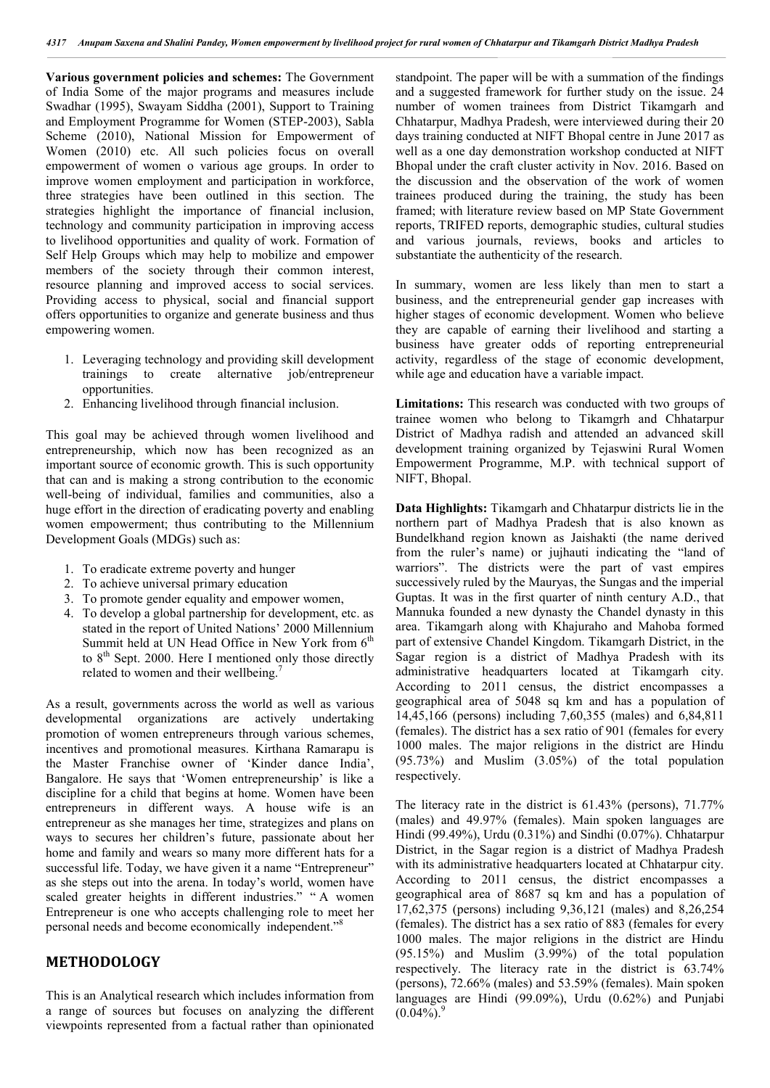**Various government policies and schemes:** The Government of India Some of the major programs and measures include Swadhar (1995), Swayam Siddha (2001), Support to Training and Employment Programme for Women (STEP-2003), Sabla Scheme (2010), National Mission for Empowerment of Women (2010) etc. All such policies focus on overall empowerment of women o various age groups. In order to improve women employment and participation in workforce, three strategies have been outlined in this section. The strategies highlight the importance of financial inclusion, technology and community participation in improving access to livelihood opportunities and quality of work. Formation of Self Help Groups which may help to mobilize and empower members of the society through their common interest, resource planning and improved access to social services. Providing access to physical, social and financial support offers opportunities to organize and generate business and thus empowering women.

- 1. Leveraging technology and providing skill development trainings to create alternative job/entrepreneur opportunities.
- 2. Enhancing livelihood through financial inclusion.

This goal may be achieved through women livelihood and entrepreneurship, which now has been recognized as an important source of economic growth. This is such opportunity that can and is making a strong contribution to the economic well-being of individual, families and communities, also a huge effort in the direction of eradicating poverty and enabling women empowerment; thus contributing to the Millennium Development Goals (MDGs) such as:

- 1. To eradicate extreme poverty and hunger
- 2. To achieve universal primary education
- 3. To promote gender equality and empower women,
- 4. To develop a global partnership for development, etc. as stated in the report of United Nations' 2000 Millennium Summit held at UN Head Office in New York from  $6<sup>th</sup>$ to  $8<sup>th</sup>$  Sept. 2000. Here I mentioned only those directly related to women and their wellbeing.<sup>7</sup>

As a result, governments across the world as well as various developmental organizations are actively undertaking promotion of women entrepreneurs through various schemes, incentives and promotional measures. Kirthana Ramarapu is the Master Franchise owner of 'Kinder dance India', Bangalore. He says that 'Women entrepreneurship' is like a discipline for a child that begins at home. Women have been entrepreneurs in different ways. A house wife is an entrepreneur as she manages her time, strategizes and plans on ways to secures her children's future, passionate about her home and family and wears so many more different hats for a successful life. Today, we have given it a name "Entrepreneur" as she steps out into the arena. In today's world, women have scaled greater heights in different industries." " A women Entrepreneur is one who accepts challenging role to meet her personal needs and become economically independent."<sup>8</sup>

## **METHODOLOGY**

This is an Analytical research which includes information from a range of sources but focuses on analyzing the different viewpoints represented from a factual rather than opinionated standpoint. The paper will be with a summation of the findings and a suggested framework for further study on the issue. 24 number of women trainees from District Tikamgarh and Chhatarpur, Madhya Pradesh, were interviewed during their 20 days training conducted at NIFT Bhopal centre in June 2017 as well as a one day demonstration workshop conducted at NIFT Bhopal under the craft cluster activity in Nov. 2016. Based on the discussion and the observation of the work of women trainees produced during the training, the study has been framed; with literature review based on MP State Government reports, TRIFED reports, demographic studies, cultural studies and various journals, reviews, books and articles to substantiate the authenticity of the research.

In summary, women are less likely than men to start a business, and the entrepreneurial gender gap increases with higher stages of economic development. Women who believe they are capable of earning their livelihood and starting a business have greater odds of reporting entrepreneurial activity, regardless of the stage of economic development, while age and education have a variable impact.

**Limitations:** This research was conducted with two groups of trainee women who belong to Tikamgrh and Chhatarpur District of Madhya radish and attended an advanced skill development training organized by Tejaswini Rural Women Empowerment Programme, M.P. with technical support of NIFT, Bhopal.

**Data Highlights:** Tikamgarh and Chhatarpur districts lie in the northern part of Madhya Pradesh that is also known as Bundelkhand region known as Jaishakti (the name derived from the ruler's name) or jujhauti indicating the "land of warriors". The districts were the part of vast empires successively ruled by the Mauryas, the Sungas and the imperial Guptas. It was in the first quarter of ninth century A.D., that Mannuka founded a new dynasty the Chandel dynasty in this area. Tikamgarh along with Khajuraho and Mahoba formed part of extensive Chandel Kingdom. Tikamgarh District, in the Sagar region is a district of Madhya Pradesh with its administrative headquarters located at Tikamgarh city. According to 2011 census, the district encompasses a geographical area of 5048 sq km and has a population of 14,45,166 (persons) including 7,60,355 (males) and 6,84,811 (females). The district has a sex ratio of 901 (females for every 1000 males. The major religions in the district are Hindu (95.73%) and Muslim (3.05%) of the total population respectively.

The literacy rate in the district is 61.43% (persons), 71.77% (males) and 49.97% (females). Main spoken languages are Hindi (99.49%), Urdu (0.31%) and Sindhi (0.07%). Chhatarpur District, in the Sagar region is a district of Madhya Pradesh with its administrative headquarters located at Chhatarpur city. According to 2011 census, the district encompasses a geographical area of 8687 sq km and has a population of 17,62,375 (persons) including 9,36,121 (males) and 8,26,254 (females). The district has a sex ratio of 883 (females for every 1000 males. The major religions in the district are Hindu (95.15%) and Muslim (3.99%) of the total population respectively. The literacy rate in the district is 63.74% (persons), 72.66% (males) and 53.59% (females). Main spoken languages are Hindi (99.09%), Urdu (0.62%) and Punjabi  $(0.04\%)$ .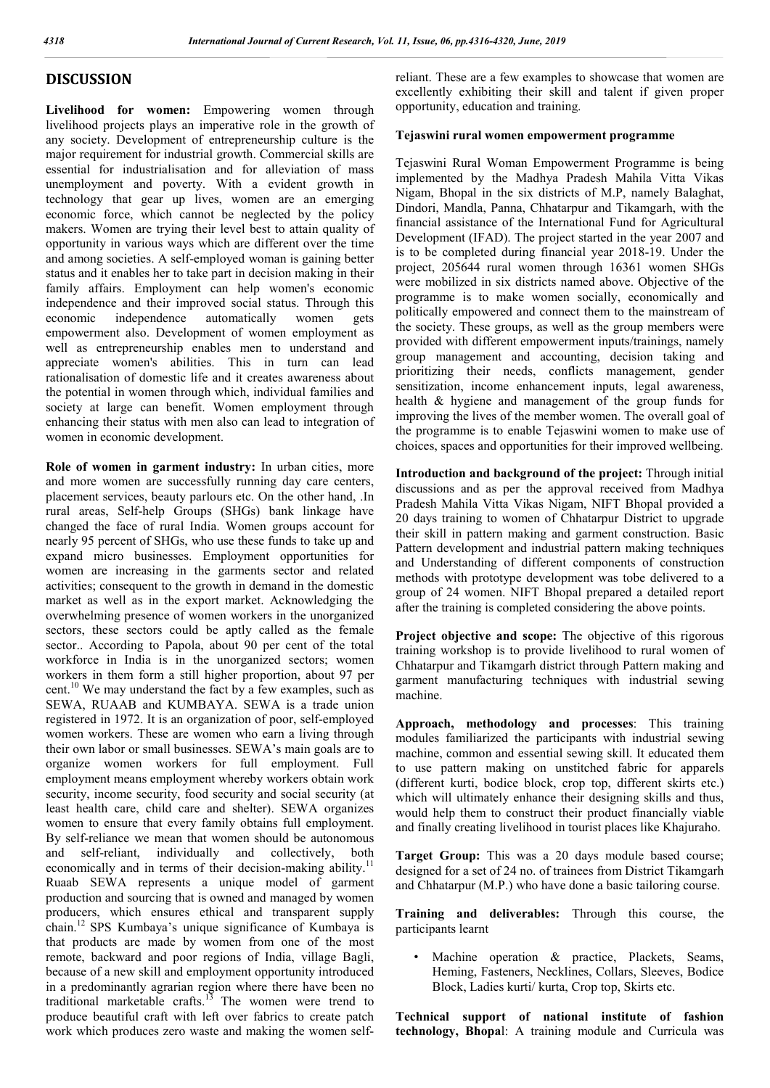## **DISCUSSION**

**Livelihood for women:** Empowering women through livelihood projects plays an imperative role in the growth of any society. Development of entrepreneurship culture is the major requirement for industrial growth. Commercial skills are essential for industrialisation and for alleviation of mass unemployment and poverty. With a evident growth in technology that gear up lives, women are an emerging economic force, which cannot be neglected by the policy makers. Women are trying their level best to attain quality of opportunity in various ways which are different over the time and among societies. A self-employed woman is gaining better status and it enables her to take part in decision making in their family affairs. Employment can help women's economic independence and their improved social status. Through this economic independence automatically women gets empowerment also. Development of women employment as well as entrepreneurship enables men to understand and appreciate women's abilities. This in turn can lead rationalisation of domestic life and it creates awareness about the potential in women through which, individual families and society at large can benefit. Women employment through enhancing their status with men also can lead to integration of women in economic development.

**Role of women in garment industry:** In urban cities, more and more women are successfully running day care centers, placement services, beauty parlours etc. On the other hand, .In rural areas, Self-help Groups (SHGs) bank linkage have changed the face of rural India. Women groups account for nearly 95 percent of SHGs, who use these funds to take up and expand micro businesses. Employment opportunities for women are increasing in the garments sector and related activities; consequent to the growth in demand in the domestic market as well as in the export market. Acknowledging the overwhelming presence of women workers in the unorganized sectors, these sectors could be aptly called as the female sector.. According to Papola, about 90 per cent of the total workforce in India is in the unorganized sectors; women workers in them form a still higher proportion, about 97 per cent.<sup>10</sup> We may understand the fact by a few examples, such as SEWA, RUAAB and KUMBAYA. SEWA is a trade union registered in 1972. It is an organization of poor, self-employed women workers. These are women who earn a living through their own labor or small businesses. SEWA's main goals are to organize women workers for full employment. Full employment means employment whereby workers obtain work security, income security, food security and social security (at least health care, child care and shelter). SEWA organizes women to ensure that every family obtains full employment. By self-reliance we mean that women should be autonomous and self-reliant, individually and collectively, both economically and in terms of their decision-making ability.<sup>11</sup> Ruaab SEWA represents a unique model of garment production and sourcing that is owned and managed by women producers, which ensures ethical and transparent supply chain.<sup>12</sup> SPS Kumbaya's unique significance of Kumbaya is that products are made by women from one of the most remote, backward and poor regions of India, village Bagli, because of a new skill and employment opportunity introduced in a predominantly agrarian region where there have been no traditional marketable crafts.<sup>13</sup> The women were trend to produce beautiful craft with left over fabrics to create patch work which produces zero waste and making the women selfreliant. These are a few examples to showcase that women are excellently exhibiting their skill and talent if given proper opportunity, education and training.

### **Tejaswini rural women empowerment programme**

Tejaswini Rural Woman Empowerment Programme is being implemented by the Madhya Pradesh Mahila Vitta Vikas Nigam, Bhopal in the six districts of M.P, namely Balaghat, Dindori, Mandla, Panna, Chhatarpur and Tikamgarh, with the financial assistance of the International Fund for Agricultural Development (IFAD). The project started in the year 2007 and is to be completed during financial year 2018-19. Under the project, 205644 rural women through 16361 women SHGs were mobilized in six districts named above. Objective of the programme is to make women socially, economically and politically empowered and connect them to the mainstream of the society. These groups, as well as the group members were provided with different empowerment inputs/trainings, namely group management and accounting, decision taking and prioritizing their needs, conflicts management, gender sensitization, income enhancement inputs, legal awareness, health & hygiene and management of the group funds for improving the lives of the member women. The overall goal of the programme is to enable Tejaswini women to make use of choices, spaces and opportunities for their improved wellbeing.

**Introduction and background of the project:** Through initial discussions and as per the approval received from Madhya Pradesh Mahila Vitta Vikas Nigam, NIFT Bhopal provided a 20 days training to women of Chhatarpur District to upgrade their skill in pattern making and garment construction. Basic Pattern development and industrial pattern making techniques and Understanding of different components of construction methods with prototype development was tobe delivered to a group of 24 women. NIFT Bhopal prepared a detailed report after the training is completed considering the above points.

**Project objective and scope:** The objective of this rigorous training workshop is to provide livelihood to rural women of Chhatarpur and Tikamgarh district through Pattern making and garment manufacturing techniques with industrial sewing machine.

**Approach, methodology and processes**: This training modules familiarized the participants with industrial sewing machine, common and essential sewing skill. It educated them to use pattern making on unstitched fabric for apparels (different kurti, bodice block, crop top, different skirts etc.) which will ultimately enhance their designing skills and thus, would help them to construct their product financially viable and finally creating livelihood in tourist places like Khajuraho.

Target Group: This was a 20 days module based course; designed for a set of 24 no. of trainees from District Tikamgarh and Chhatarpur (M.P.) who have done a basic tailoring course.

**Training and deliverables:** Through this course, the participants learnt

Machine operation  $\&$  practice, Plackets, Seams, Heming, Fasteners, Necklines, Collars, Sleeves, Bodice Block, Ladies kurti/ kurta, Crop top, Skirts etc.

**Technical support of national institute of fashion technology, Bhopa**l: A training module and Curricula was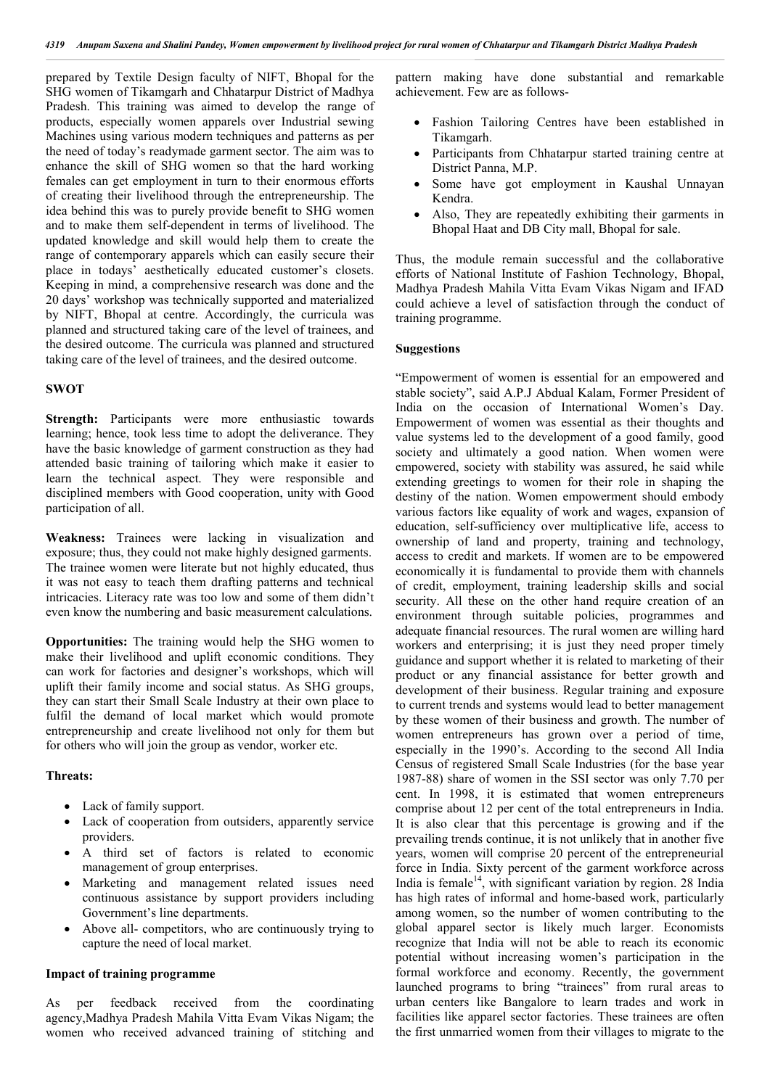prepared by Textile Design faculty of NIFT, Bhopal for the SHG women of Tikamgarh and Chhatarpur District of Madhya Pradesh. This training was aimed to develop the range of products, especially women apparels over Industrial sewing Machines using various modern techniques and patterns as per the need of today's readymade garment sector. The aim was to enhance the skill of SHG women so that the hard working females can get employment in turn to their enormous efforts of creating their livelihood through the entrepreneurship. The idea behind this was to purely provide benefit to SHG women and to make them self-dependent in terms of livelihood. The updated knowledge and skill would help them to create the range of contemporary apparels which can easily secure their place in todays' aesthetically educated customer's closets. Keeping in mind, a comprehensive research was done and the 20 days' workshop was technically supported and materialized by NIFT, Bhopal at centre. Accordingly, the curricula was planned and structured taking care of the level of trainees, and the desired outcome. The curricula was planned and structured taking care of the level of trainees, and the desired outcome.

## **SWOT**

Strength: Participants were more enthusiastic towards learning; hence, took less time to adopt the deliverance. They have the basic knowledge of garment construction as they had attended basic training of tailoring which make it easier to learn the technical aspect. They were responsible and disciplined members with Good cooperation, unity with Good participation of all.

**Weakness:** Trainees were lacking in visualization and exposure; thus, they could not make highly designed garments. The trainee women were literate but not highly educated, thus it was not easy to teach them drafting patterns and technical intricacies. Literacy rate was too low and some of them didn't even know the numbering and basic measurement calculations.

**Opportunities:** The training would help the SHG women to make their livelihood and uplift economic conditions. They can work for factories and designer's workshops, which will uplift their family income and social status. As SHG groups, they can start their Small Scale Industry at their own place to fulfil the demand of local market which would promote entrepreneurship and create livelihood not only for them but for others who will join the group as vendor, worker etc.

#### **Threats:**

- Lack of family support.
- Lack of cooperation from outsiders, apparently service providers.
- A third set of factors is related to economic management of group enterprises.
- Marketing and management related issues need continuous assistance by support providers including Government's line departments.
- Above all- competitors, who are continuously trying to capture the need of local market.

#### **Impact of training programme**

As per feedback received from the coordinating agency,Madhya Pradesh Mahila Vitta Evam Vikas Nigam; the women who received advanced training of stitching and

pattern making have done substantial and remarkable achievement. Few are as follows-

- Fashion Tailoring Centres have been established in Tikamgarh.
- Participants from Chhatarpur started training centre at District Panna, M.P.
- Some have got employment in Kaushal Unnayan Kendra.
- Also, They are repeatedly exhibiting their garments in Bhopal Haat and DB City mall, Bhopal for sale.

Thus, the module remain successful and the collaborative efforts of National Institute of Fashion Technology, Bhopal, Madhya Pradesh Mahila Vitta Evam Vikas Nigam and IFAD could achieve a level of satisfaction through the conduct of training programme.

### **Suggestions**

"Empowerment of women is essential for an empowered and stable society", said A.P.J Abdual Kalam, Former President of India on the occasion of International Women's Day. Empowerment of women was essential as their thoughts and value systems led to the development of a good family, good society and ultimately a good nation. When women were empowered, society with stability was assured, he said while extending greetings to women for their role in shaping the destiny of the nation. Women empowerment should embody various factors like equality of work and wages, expansion of education, self-sufficiency over multiplicative life, access to ownership of land and property, training and technology, access to credit and markets. If women are to be empowered economically it is fundamental to provide them with channels of credit, employment, training leadership skills and social security. All these on the other hand require creation of an environment through suitable policies, programmes and adequate financial resources. The rural women are willing hard workers and enterprising; it is just they need proper timely guidance and support whether it is related to marketing of their product or any financial assistance for better growth and development of their business. Regular training and exposure to current trends and systems would lead to better management by these women of their business and growth. The number of women entrepreneurs has grown over a period of time, especially in the 1990's. According to the second All India Census of registered Small Scale Industries (for the base year 1987-88) share of women in the SSI sector was only 7.70 per cent. In 1998, it is estimated that women entrepreneurs comprise about 12 per cent of the total entrepreneurs in India. It is also clear that this percentage is growing and if the prevailing trends continue, it is not unlikely that in another five years, women will comprise 20 percent of the entrepreneurial force in India. Sixty percent of the garment workforce across India is female<sup>14</sup>, with significant variation by region. 28 India has high rates of informal and home-based work, particularly among women, so the number of women contributing to the global apparel sector is likely much larger. Economists recognize that India will not be able to reach its economic potential without increasing women's participation in the formal workforce and economy. Recently, the government launched programs to bring "trainees" from rural areas to urban centers like Bangalore to learn trades and work in facilities like apparel sector factories. These trainees are often the first unmarried women from their villages to migrate to the